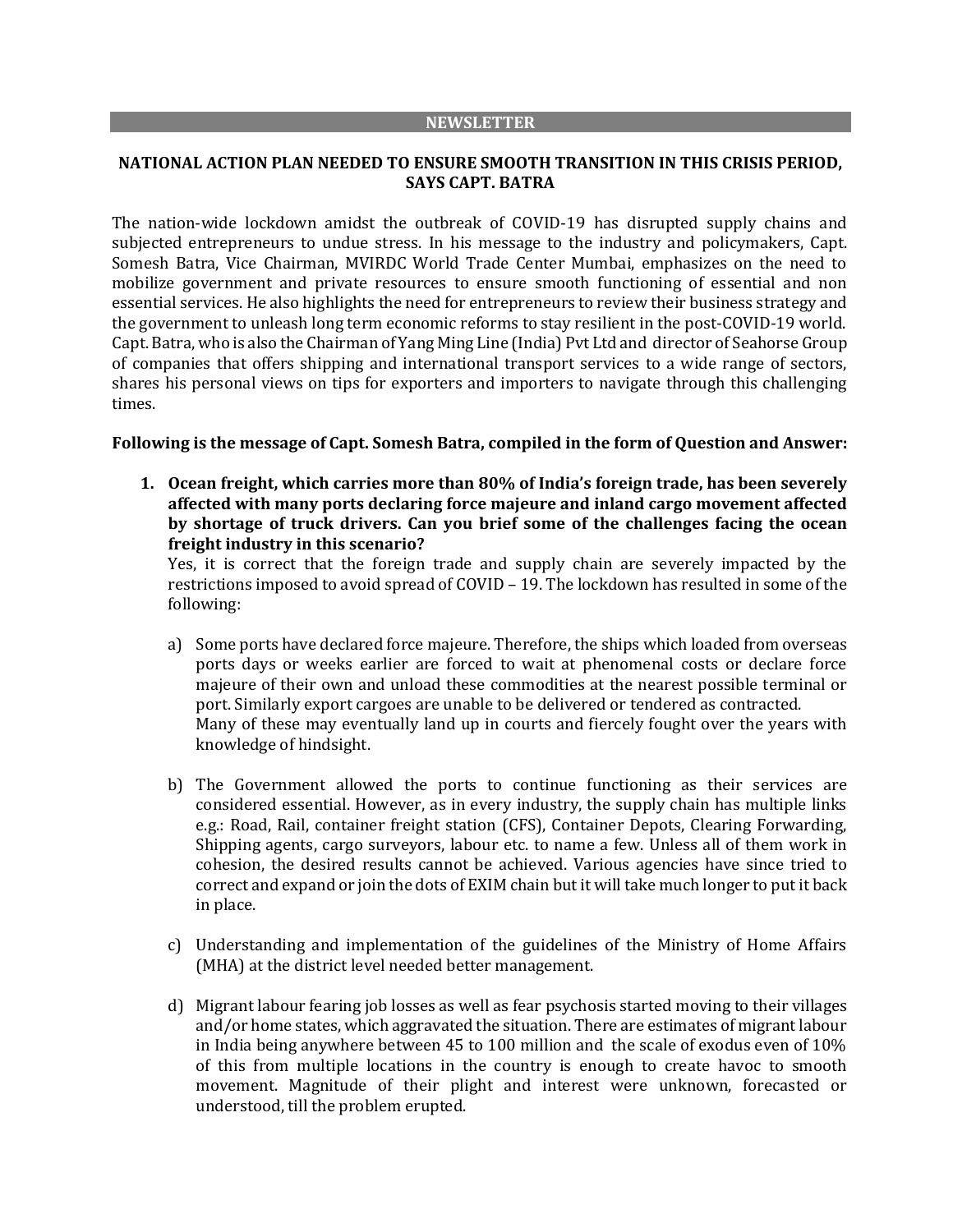#### **NEWSLETTER**

# **NATIONAL ACTION PLAN NEEDED TO ENSURE SMOOTH TRANSITION IN THIS CRISIS PERIOD, SAYS CAPT. BATRA**

The nation-wide lockdown amidst the outbreak of COVID-19 has disrupted supply chains and subjected entrepreneurs to undue stress. In his message to the industry and policymakers, Capt. Somesh Batra, Vice Chairman, MVIRDC World Trade Center Mumbai, emphasizes on the need to mobilize government and private resources to ensure smooth functioning of essential and non essential services. He also highlights the need for entrepreneurs to review their business strategy and the government to unleash long term economic reforms to stay resilient in the post-COVID-19 world. Capt. Batra, who is also the Chairman of Yang Ming Line (India) Pvt Ltd and director of Seahorse Group of companies that offers shipping and international transport services to a wide range of sectors, shares his personal views on tips for exporters and importers to navigate through this challenging times.

# **Following is the message of Capt. Somesh Batra, compiled in the form of Question and Answer:**

**1. Ocean freight, which carries more than 80% of India's foreign trade, has been severely affected with many ports declaring force majeure and inland cargo movement affected by shortage of truck drivers. Can you brief some of the challenges facing the ocean freight industry in this scenario?**

Yes, it is correct that the foreign trade and supply chain are severely impacted by the restrictions imposed to avoid spread of COVID – 19. The lockdown has resulted in some of the following:

- a) Some ports have declared force majeure. Therefore, the ships which loaded from overseas ports days or weeks earlier are forced to wait at phenomenal costs or declare force majeure of their own and unload these commodities at the nearest possible terminal or port. Similarly export cargoes are unable to be delivered or tendered as contracted. Many of these may eventually land up in courts and fiercely fought over the years with knowledge of hindsight.
- b) The Government allowed the ports to continue functioning as their services are considered essential. However, as in every industry, the supply chain has multiple links e.g.: Road, Rail, container freight station (CFS), Container Depots, Clearing Forwarding, Shipping agents, cargo surveyors, labour etc. to name a few. Unless all of them work in cohesion, the desired results cannot be achieved. Various agencies have since tried to correct and expand or join the dots of EXIM chain but it will take much longer to put it back in place.
- c) Understanding and implementation of the guidelines of the Ministry of Home Affairs (MHA) at the district level needed better management.
- d) Migrant labour fearing job losses as well as fear psychosis started moving to their villages and/or home states, which aggravated the situation. There are estimates of migrant labour in India being anywhere between 45 to 100 million and the scale of exodus even of 10% of this from multiple locations in the country is enough to create havoc to smooth movement. Magnitude of their plight and interest were unknown, forecasted or understood, till the problem erupted.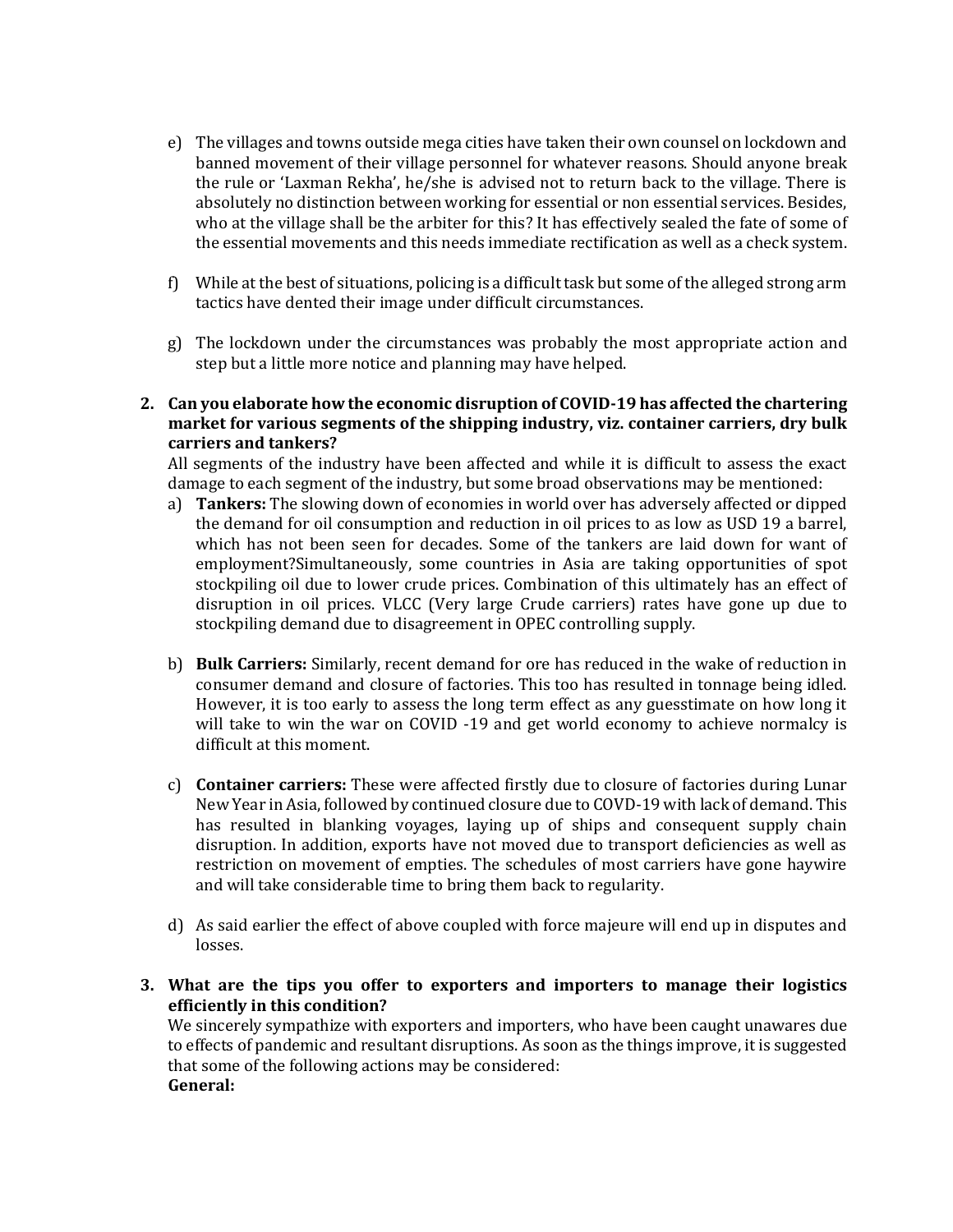- e) The villages and towns outside mega cities have taken their own counsel on lockdown and banned movement of their village personnel for whatever reasons. Should anyone break the rule or 'Laxman Rekha', he/she is advised not to return back to the village. There is absolutely no distinction between working for essential or non essential services. Besides, who at the village shall be the arbiter for this? It has effectively sealed the fate of some of the essential movements and this needs immediate rectification as well as a check system.
- f) While at the best of situations, policing is a difficult task but some of the alleged strong arm tactics have dented their image under difficult circumstances.
- g) The lockdown under the circumstances was probably the most appropriate action and step but a little more notice and planning may have helped.
- **2. Can you elaborate how the economic disruption of COVID-19 has affected the chartering market for various segments of the shipping industry, viz. container carriers, dry bulk carriers and tankers?**

All segments of the industry have been affected and while it is difficult to assess the exact damage to each segment of the industry, but some broad observations may be mentioned:

- a) **Tankers:** The slowing down of economies in world over has adversely affected or dipped the demand for oil consumption and reduction in oil prices to as low as USD 19 a barrel, which has not been seen for decades. Some of the tankers are laid down for want of employment?Simultaneously, some countries in Asia are taking opportunities of spot stockpiling oil due to lower crude prices. Combination of this ultimately has an effect of disruption in oil prices. VLCC (Very large Crude carriers) rates have gone up due to stockpiling demand due to disagreement in OPEC controlling supply.
- b) **Bulk Carriers:** Similarly, recent demand for ore has reduced in the wake of reduction in consumer demand and closure of factories. This too has resulted in tonnage being idled. However, it is too early to assess the long term effect as any guesstimate on how long it will take to win the war on COVID -19 and get world economy to achieve normalcy is difficult at this moment.
- c) **Container carriers:** These were affected firstly due to closure of factories during Lunar New Year in Asia, followed by continued closure due to COVD-19 with lack of demand. This has resulted in blanking voyages, laying up of ships and consequent supply chain disruption. In addition, exports have not moved due to transport deficiencies as well as restriction on movement of empties. The schedules of most carriers have gone haywire and will take considerable time to bring them back to regularity.
- d) As said earlier the effect of above coupled with force majeure will end up in disputes and losses.
- **3. What are the tips you offer to exporters and importers to manage their logistics efficiently in this condition?**

We sincerely sympathize with exporters and importers, who have been caught unawares due to effects of pandemic and resultant disruptions. As soon as the things improve, it is suggested that some of the following actions may be considered: **General:**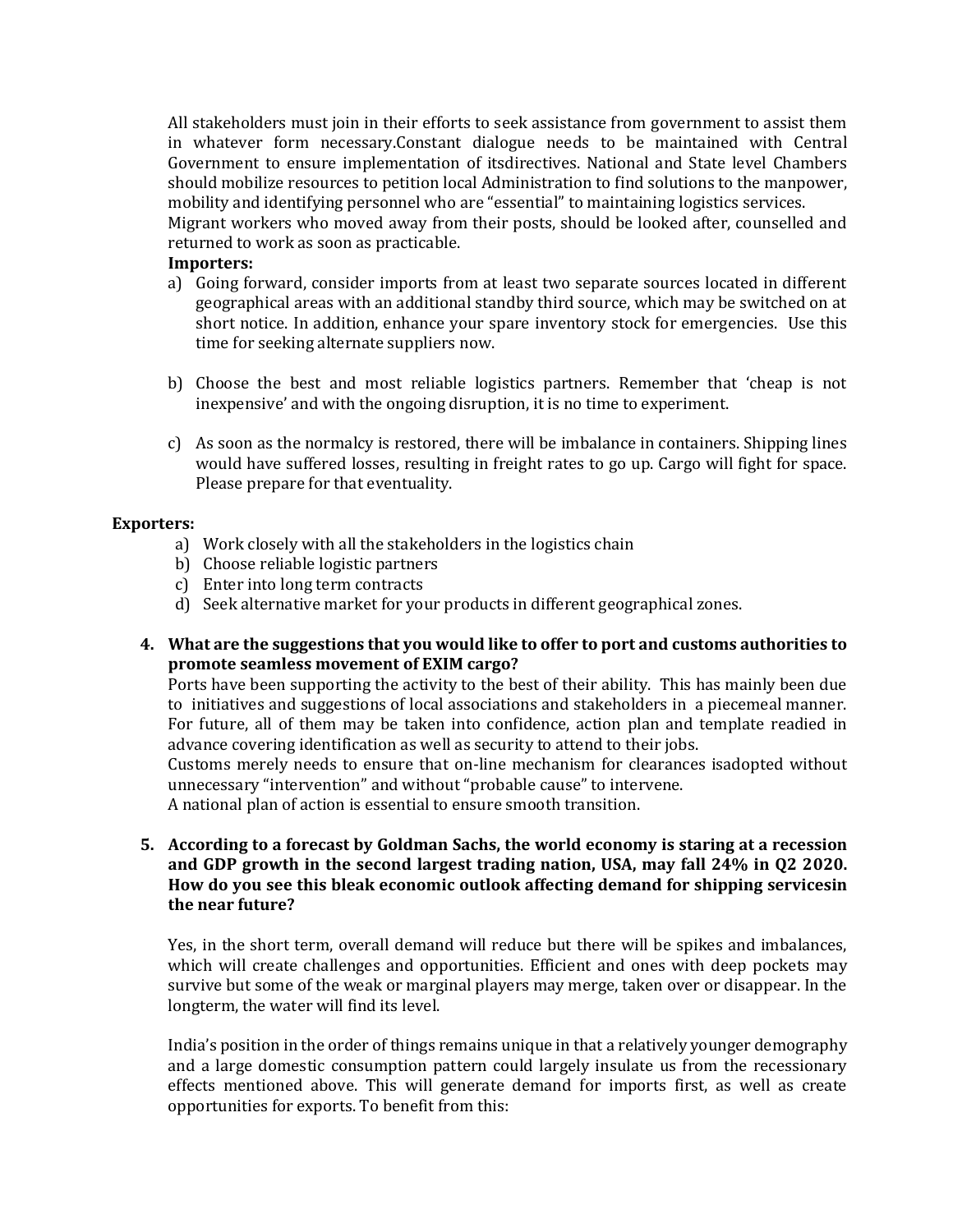All stakeholders must join in their efforts to seek assistance from government to assist them in whatever form necessary.Constant dialogue needs to be maintained with Central Government to ensure implementation of itsdirectives. National and State level Chambers should mobilize resources to petition local Administration to find solutions to the manpower, mobility and identifying personnel who are "essential" to maintaining logistics services.

Migrant workers who moved away from their posts, should be looked after, counselled and returned to work as soon as practicable.

#### **Importers:**

- a) Going forward, consider imports from at least two separate sources located in different geographical areas with an additional standby third source, which may be switched on at short notice. In addition, enhance your spare inventory stock for emergencies. Use this time for seeking alternate suppliers now.
- b) Choose the best and most reliable logistics partners. Remember that 'cheap is not inexpensive' and with the ongoing disruption, it is no time to experiment.
- c) As soon as the normalcy is restored, there will be imbalance in containers. Shipping lines would have suffered losses, resulting in freight rates to go up. Cargo will fight for space. Please prepare for that eventuality.

# **Exporters:**

- a) Work closely with all the stakeholders in the logistics chain
- b) Choose reliable logistic partners
- c) Enter into long term contracts
- d) Seek alternative market for your products in different geographical zones.
- **4. What are the suggestions that you would like to offer to port and customs authorities to promote seamless movement of EXIM cargo?**

Ports have been supporting the activity to the best of their ability. This has mainly been due to initiatives and suggestions of local associations and stakeholders in a piecemeal manner. For future, all of them may be taken into confidence, action plan and template readied in advance covering identification as well as security to attend to their jobs.

Customs merely needs to ensure that on-line mechanism for clearances isadopted without unnecessary "intervention" and without "probable cause" to intervene.

A national plan of action is essential to ensure smooth transition.

**5. According to a forecast by Goldman Sachs, the world economy is staring at a recession and GDP growth in the second largest trading nation, USA, may fall 24% in Q2 2020. How do you see this bleak economic outlook affecting demand for shipping servicesin the near future?**

Yes, in the short term, overall demand will reduce but there will be spikes and imbalances, which will create challenges and opportunities. Efficient and ones with deep pockets may survive but some of the weak or marginal players may merge, taken over or disappear. In the longterm, the water will find its level.

India's position in the order of things remains unique in that a relatively younger demography and a large domestic consumption pattern could largely insulate us from the recessionary effects mentioned above. This will generate demand for imports first, as well as create opportunities for exports. To benefit from this: